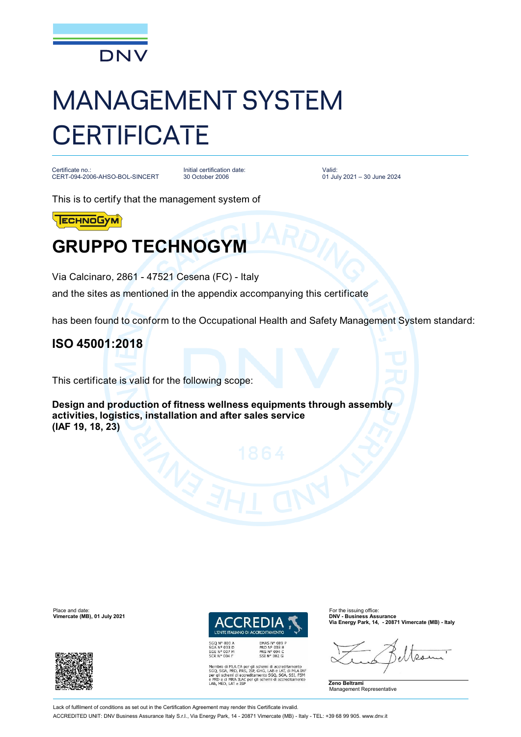

# MANAGEMENT SYSTEM **CERTIFICATE**

Certificate no.: CERT-094-2006-AHSO-BOL-SINCERT

Initial certification date: 30 October 2006

Valid: 01 July 2021 – 30 June 2024

This is to certify that the management system of

**ECHNOGYM** 

## **GRUPPO TECHNOGYM**

Via Calcinaro, 2861 - 47521 Cesena (FC) - Italy

and the sites as mentioned in the appendix accompanying this certificate

has been found to conform to the Occupational Health and Safety Management System standard:

#### **ISO 45001:2018**

This certificate is valid for the following scope:

**Design and production of fitness wellness equipments through assembly activities, logistics, installation and after sales service (IAF 19, 18, 23)**





*I'ENTE ITALIANO DI AC* EMAS Nº 009 F EMAS N° 009<br>PRD N° 003 B<br>PRS N° 094 C<br>SSI N° 002 G

Membro di MLA EA per gli schemi di accreditamento<br>SGO, SGA, PRD, PRS, ISP, GHG, LAB e LAT, di MLA IAF<br>per gli schemi di accreditamento SGO, SGA, SSI, FSM<br>e PRD e di MRA ILAC per gli schemi di accreditamento<br>LAB, MED, LAT e

**Via Energy Park, 14, - 20871 Vimercate (MB) - Italy**

 $Q_{12}$ 

**Zeno Beltrami** Management Representative

Lack of fulfilment of conditions as set out in the Certification Agreement may render this Certificate invalid. ACCREDITED UNIT: DNV Business Assurance Italy S.r.l., Via Energy Park, 14 - 20871 Vimercate (MB) - Italy - TEL: +39 68 99 905. [www.dnv.it](http://www.dnv.it)